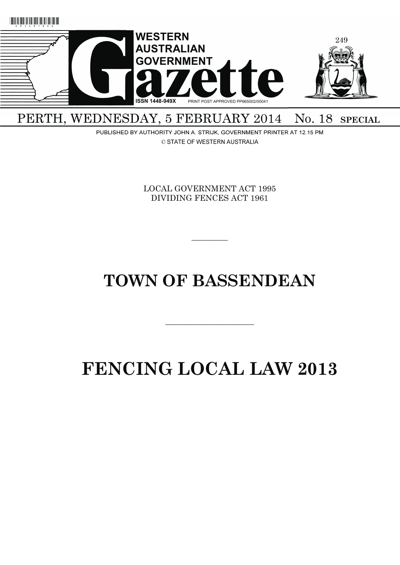

PERTH, WEDNESDAY, 5 FEBRUARY 2014 No. 18 SPECIAL

> PUBLISHED BY AUTHORITY JOHN A. STRIJK, GOVERNMENT PRINTER AT 12.15 PM © STATE OF WESTERN AUSTRALIA

> > LOCAL GOVERNMENT ACT 1995 DIVIDING FENCES ACT 1961

> > > $\overline{\phantom{a}}$

# **TOWN OF BASSENDEAN**

# **FENCING LOCAL LAW 2013**

———————————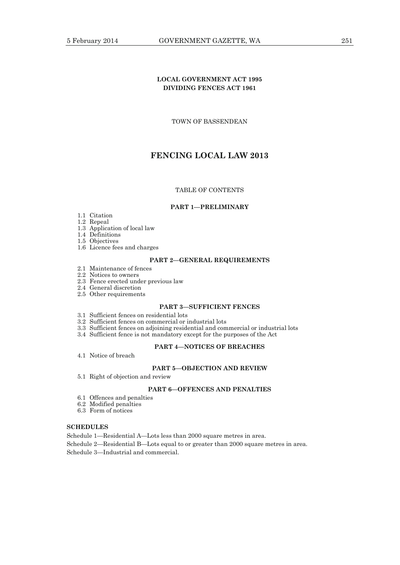TOWN OF BASSENDEAN

# **FENCING LOCAL LAW 2013**

# TABLE OF CONTENTS

#### **PART 1—PRELIMINARY**

## 1.1 Citation

- 1.2 Repeal
	- 1.3 Application of local law
	- 1.4 Definitions
	- 1.5 Objectives
	- 1.6 Licence fees and charges

# **PART 2—GENERAL REQUIREMENTS**

- 2.1 Maintenance of fences
- 2.2 Notices to owners
- 2.3 Fence erected under previous law
- 2.4 General discretion
- 2.5 Other requirements

# **PART 3—SUFFICIENT FENCES**

- 3.1 Sufficient fences on residential lots
- 3.2 Sufficient fences on commercial or industrial lots
- 3.3 Sufficient fences on adjoining residential and commercial or industrial lots
- 3.4 Sufficient fence is not mandatory except for the purposes of the Act

# **PART 4—NOTICES OF BREACHES**

4.1 Notice of breach

# **PART 5—OBJECTION AND REVIEW**

5.1 Right of objection and review

# **PART 6—OFFENCES AND PENALTIES**

- 6.1 Offences and penalties
- 6.2 Modified penalties
- 6.3 Form of notices

# **SCHEDULES**

Schedule 1—Residential A—Lots less than 2000 square metres in area.

Schedule 2—Residential B—Lots equal to or greater than 2000 square metres in area.

Schedule 3—Industrial and commercial.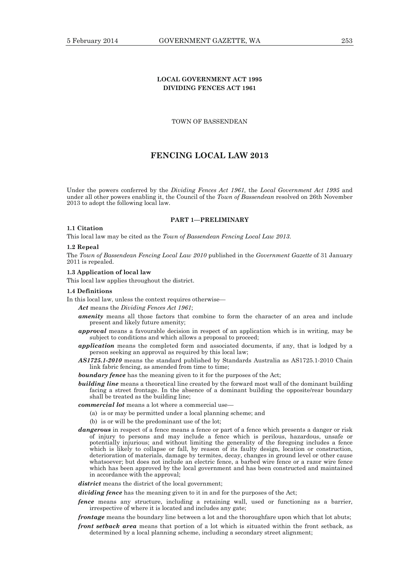# **LOCAL GOVERNMENT ACT 1995 DIVIDING FENCES ACT 1961**

TOWN OF BASSENDEAN

# **FENCING LOCAL LAW 2013**

Under the powers conferred by the *Dividing Fences Act 1961,* the *Local Government Act 1995* and under all other powers enabling it, the Council of the *Town of Bassendean* resolved on 26th November 2013 to adopt the following local law.

#### **PART 1—PRELIMINARY**

## **1.1 Citation**

This local law may be cited as the *Town of Bassendean Fencing Local Law 2013*.

#### **1.2 Repeal**

The *Town of Bassendean Fencing Local Law 2010* published in the *Government Gazette* of 31 January 2011 is repealed.

## **1.3 Application of local law**

This local law applies throughout the district.

## **1.4 Definitions**

In this local law, unless the context requires otherwise—

*Act* means the *Dividing Fences Act 1961*;

- *amenity* means all those factors that combine to form the character of an area and include present and likely future amenity;
- *approval* means a favourable decision in respect of an application which is in writing, may be subject to conditions and which allows a proposal to proceed;
- *application* means the completed form and associated documents, if any, that is lodged by a person seeking an approval as required by this local law;
- *AS1725.1-2010* means the standard published by Standards Australia as AS1725.1-2010 Chain link fabric fencing, as amended from time to time;
- **boundary fence** has the meaning given to it for the purposes of the Act;
- *building line* means a theoretical line created by the forward most wall of the dominant building facing a street frontage. In the absence of a dominant building the opposite/rear boundary shall be treated as the building line;
- *commercial lot* means a lot where a commercial use—
	- (a) is or may be permitted under a local planning scheme; and
	- (b) is or will be the predominant use of the lot;
- *dangerous* in respect of a fence means a fence or part of a fence which presents a danger or risk of injury to persons and may include a fence which is perilous, hazardous, unsafe or potentially injurious; and without limiting the generality of the foregoing includes a fence which is likely to collapse or fall, by reason of its faulty design, location or construction, deterioration of materials, damage by termites, decay, changes in ground level or other cause whatsoever; but does not include an electric fence, a barbed wire fence or a razor wire fence which has been approved by the local government and has been constructed and maintained in accordance with the approval;

*district* means the district of the local government:

*dividing fence* has the meaning given to it in and for the purposes of the Act;

- *fence* means any structure, including a retaining wall, used or functioning as a barrier, irrespective of where it is located and includes any gate;
- *frontage* means the boundary line between a lot and the thoroughfare upon which that lot abuts;
- *front setback area* means that portion of a lot which is situated within the front setback, as determined by a local planning scheme, including a secondary street alignment;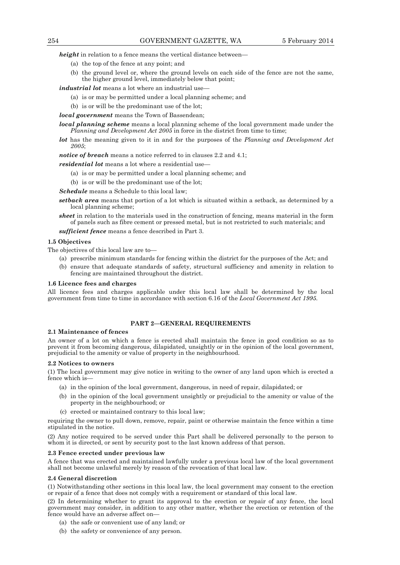*height* in relation to a fence means the vertical distance between—

- (a) the top of the fence at any point; and
- (b) the ground level or, where the ground levels on each side of the fence are not the same, the higher ground level, immediately below that point;

*industrial lot* means a lot where an industrial use—

- (a) is or may be permitted under a local planning scheme; and
- (b) is or will be the predominant use of the lot;

*local government* means the Town of Bassendean;

*local planning scheme* means a local planning scheme of the local government made under the *Planning and Development Act 2005* in force in the district from time to time;

*lot* has the meaning given to it in and for the purposes of the *Planning and Development Act 2005*;

*notice of breach* means a notice referred to in clauses 2.2 and 4.1;

*residential lot* means a lot where a residential use-

- (a) is or may be permitted under a local planning scheme; and
- (b) is or will be the predominant use of the lot;

*Schedule* means a Schedule to this local law;

- *setback area* means that portion of a lot which is situated within a setback, as determined by a local planning scheme;
- *sheet* in relation to the materials used in the construction of fencing, means material in the form of panels such as fibre cement or pressed metal, but is not restricted to such materials; and

*sufficient fence* means a fence described in Part 3.

#### **1.5 Objectives**

The objectives of this local law are to—

- (a) prescribe minimum standards for fencing within the district for the purposes of the Act; and
- (b) ensure that adequate standards of safety, structural sufficiency and amenity in relation to fencing are maintained throughout the district.

#### **1.6 Licence fees and charges**

All licence fees and charges applicable under this local law shall be determined by the local government from time to time in accordance with section 6.16 of the *Local Government Act 1995.*

# **PART 2—GENERAL REQUIREMENTS**

#### **2.1 Maintenance of fences**

An owner of a lot on which a fence is erected shall maintain the fence in good condition so as to prevent it from becoming dangerous, dilapidated, unsightly or in the opinion of the local government, prejudicial to the amenity or value of property in the neighbourhood.

#### **2.2 Notices to owners**

(1) The local government may give notice in writing to the owner of any land upon which is erected a fence which is-

- (a) in the opinion of the local government, dangerous, in need of repair, dilapidated; or
- (b) in the opinion of the local government unsightly or prejudicial to the amenity or value of the property in the neighbourhood; or
- (c) erected or maintained contrary to this local law;

requiring the owner to pull down, remove, repair, paint or otherwise maintain the fence within a time stipulated in the notice.

(2) Any notice required to be served under this Part shall be delivered personally to the person to whom it is directed, or sent by security post to the last known address of that person.

#### **2.3 Fence erected under previous law**

A fence that was erected and maintained lawfully under a previous local law of the local government shall not become unlawful merely by reason of the revocation of that local law.

#### **2.4 General discretion**

(1) Notwithstanding other sections in this local law, the local government may consent to the erection or repair of a fence that does not comply with a requirement or standard of this local law.

(2) In determining whether to grant its approval to the erection or repair of any fence, the local government may consider, in addition to any other matter, whether the erection or retention of the fence would have an adverse affect on—

- (a) the safe or convenient use of any land; or
- (b) the safety or convenience of any person.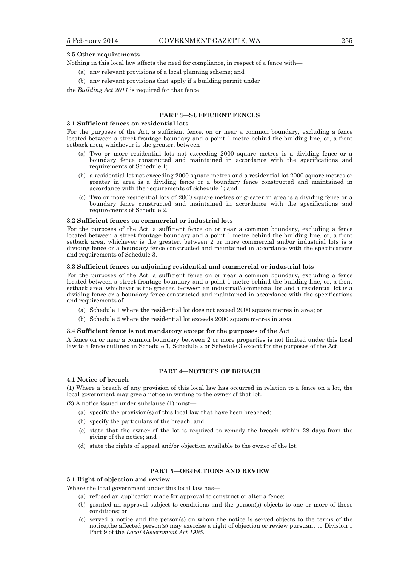#### **2.5 Other requirements**

Nothing in this local law affects the need for compliance, in respect of a fence with—

- (a) any relevant provisions of a local planning scheme; and
- (b) any relevant provisions that apply if a building permit under

the *Building Act 2011* is required for that fence.

# **PART 3—SUFFICIENT FENCES**

#### **3.1 Sufficient fences on residential lots**

For the purposes of the Act, a sufficient fence, on or near a common boundary, excluding a fence located between a street frontage boundary and a point 1 metre behind the building line, or, a front setback area, whichever is the greater, between—

- (a) Two or more residential lots not exceeding 2000 square metres is a dividing fence or a boundary fence constructed and maintained in accordance with the specifications and requirements of Schedule 1;
- (b) a residential lot not exceeding 2000 square metres and a residential lot 2000 square metres or greater in area is a dividing fence or a boundary fence constructed and maintained in accordance with the requirements of Schedule 1; and
- (c) Two or more residential lots of 2000 square metres or greater in area is a dividing fence or a boundary fence constructed and maintained in accordance with the specifications and requirements of Schedule 2.

#### **3.2 Sufficient fences on commercial or industrial lots**

For the purposes of the Act, a sufficient fence on or near a common boundary, excluding a fence located between a street frontage boundary and a point 1 metre behind the building line, or, a front setback area, whichever is the greater, between 2 or more commercial and/or industrial lots is a dividing fence or a boundary fence constructed and maintained in accordance with the specifications and requirements of Schedule 3.

#### **3.3 Sufficient fences on adjoining residential and commercial or industrial lots**

For the purposes of the Act, a sufficient fence on or near a common boundary, excluding a fence located between a street frontage boundary and a point 1 metre behind the building line, or, a front setback area, whichever is the greater, between an industrial/commercial lot and a residential lot is a dividing fence or a boundary fence constructed and maintained in accordance with the specifications and requirements of-

- (a) Schedule 1 where the residential lot does not exceed 2000 square metres in area; or
- (b) Schedule 2 where the residential lot exceeds 2000 square metres in area.

#### **3.4 Sufficient fence is not mandatory except for the purposes of the Act**

A fence on or near a common boundary between 2 or more properties is not limited under this local law to a fence outlined in Schedule 1, Schedule 2 or Schedule 3 except for the purposes of the Act.

# **PART 4—NOTICES OF BREACH**

#### **4.1 Notice of breach**

(1) Where a breach of any provision of this local law has occurred in relation to a fence on a lot, the local government may give a notice in writing to the owner of that lot.

(2) A notice issued under subclause (1) must—

- (a) specify the provision(s) of this local law that have been breached;
- (b) specify the particulars of the breach; and
- (c) state that the owner of the lot is required to remedy the breach within 28 days from the giving of the notice; and
- (d) state the rights of appeal and/or objection available to the owner of the lot.

#### **PART 5—OBJECTIONS AND REVIEW**

## **5.1 Right of objection and review**

Where the local government under this local law has—

- (a) refused an application made for approval to construct or alter a fence;
- (b) granted an approval subject to conditions and the person(s) objects to one or more of those conditions; or
- (c) served a notice and the person(s) on whom the notice is served objects to the terms of the notice,the affected person(s) may exercise a right of objection or review pursuant to Division 1 Part 9 of the *Local Government Act 1995*.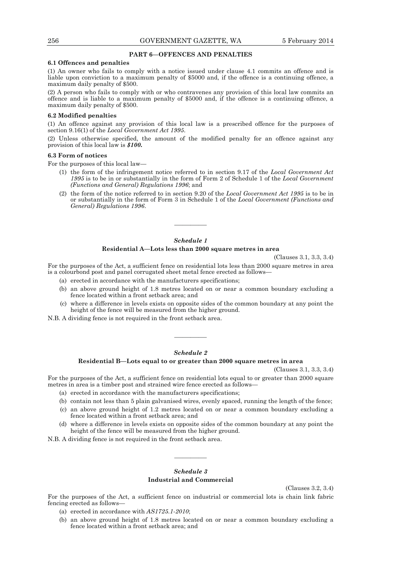# **PART 6—OFFENCES AND PENALTIES**

#### **6.1 Offences and penalties**

(1) An owner who fails to comply with a notice issued under clause 4.1 commits an offence and is liable upon conviction to a maximum penalty of \$5000 and, if the offence is a continuing offence, a maximum daily penalty of \$500.

(2) A person who fails to comply with or who contravenes any provision of this local law commits an offence and is liable to a maximum penalty of \$5000 and, if the offence is a continuing offence, a maximum daily penalty of \$500.

#### **6.2 Modified penalties**

(1) An offence against any provision of this local law is a prescribed offence for the purposes of section 9.16(1) of the *Local Government Act 1995*.

(2) Unless otherwise specified, the amount of the modified penalty for an offence against any provision of this local law is *\$100.*

#### **6.3 Form of notices**

For the purposes of this local law—

- (1) the form of the infringement notice referred to in section 9.17 of the *Local Government Act 1995* is to be in or substantially in the form of Form 2 of Schedule 1 of the *Local Government (Functions and General) Regulations 1996*; and
- (2) the form of the notice referred to in section 9.20 of the *Local Government Act 1995* is to be in or substantially in the form of Form 3 in Schedule 1 of the *Local Government (Functions and General) Regulations 1996*.

# *Schedule 1*

————

# **Residential A—Lots less than 2000 square metres in area**

(Clauses 3.1, 3.3, 3.4)

For the purposes of the Act, a sufficient fence on residential lots less than 2000 square metres in area is a colourbond post and panel corrugated sheet metal fence erected as follows—

- (a) erected in accordance with the manufacturers specifications;
- (b) an above ground height of 1.8 metres located on or near a common boundary excluding a fence located within a front setback area; and
- (c) where a difference in levels exists on opposite sides of the common boundary at any point the height of the fence will be measured from the higher ground.

N.B. A dividing fence is not required in the front setback area.

#### *Schedule 2*

————

#### **Residential B—Lots equal to or greater than 2000 square metres in area**

(Clauses 3.1, 3.3, 3.4)

For the purposes of the Act, a sufficient fence on residential lots equal to or greater than 2000 square metres in area is a timber post and strained wire fence erected as follows—

- (a) erected in accordance with the manufacturers specifications;
- (b) contain not less than 5 plain galvanised wires, evenly spaced, running the length of the fence;
- (c) an above ground height of 1.2 metres located on or near a common boundary excluding a fence located within a front setback area; and
- (d) where a difference in levels exists on opposite sides of the common boundary at any point the height of the fence will be measured from the higher ground.

N.B. A dividing fence is not required in the front setback area.

# *Schedule 3*  **Industrial and Commercial**

————

(Clauses 3.2, 3.4)

For the purposes of the Act, a sufficient fence on industrial or commercial lots is chain link fabric fencing erected as follows—

- (a) erected in accordance with *AS1725.1-2010*;
- (b) an above ground height of 1.8 metres located on or near a common boundary excluding a fence located within a front setback area; and